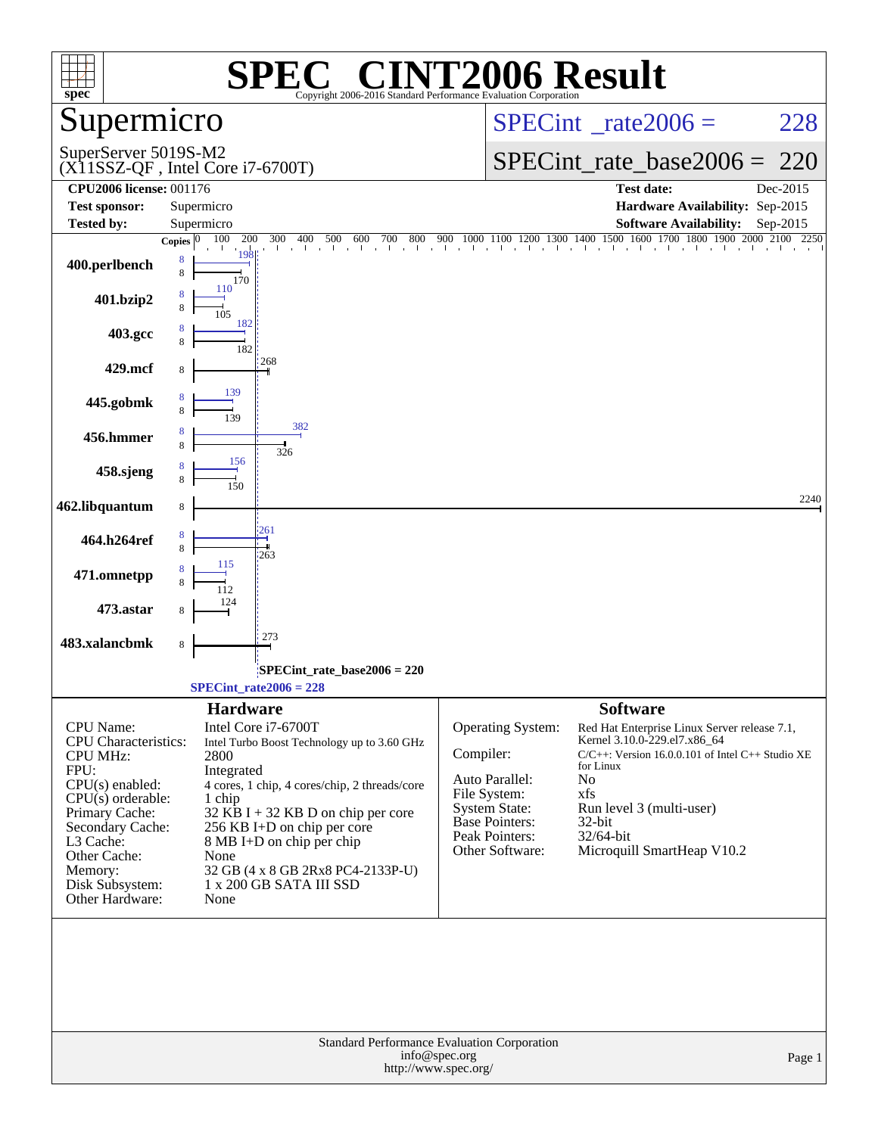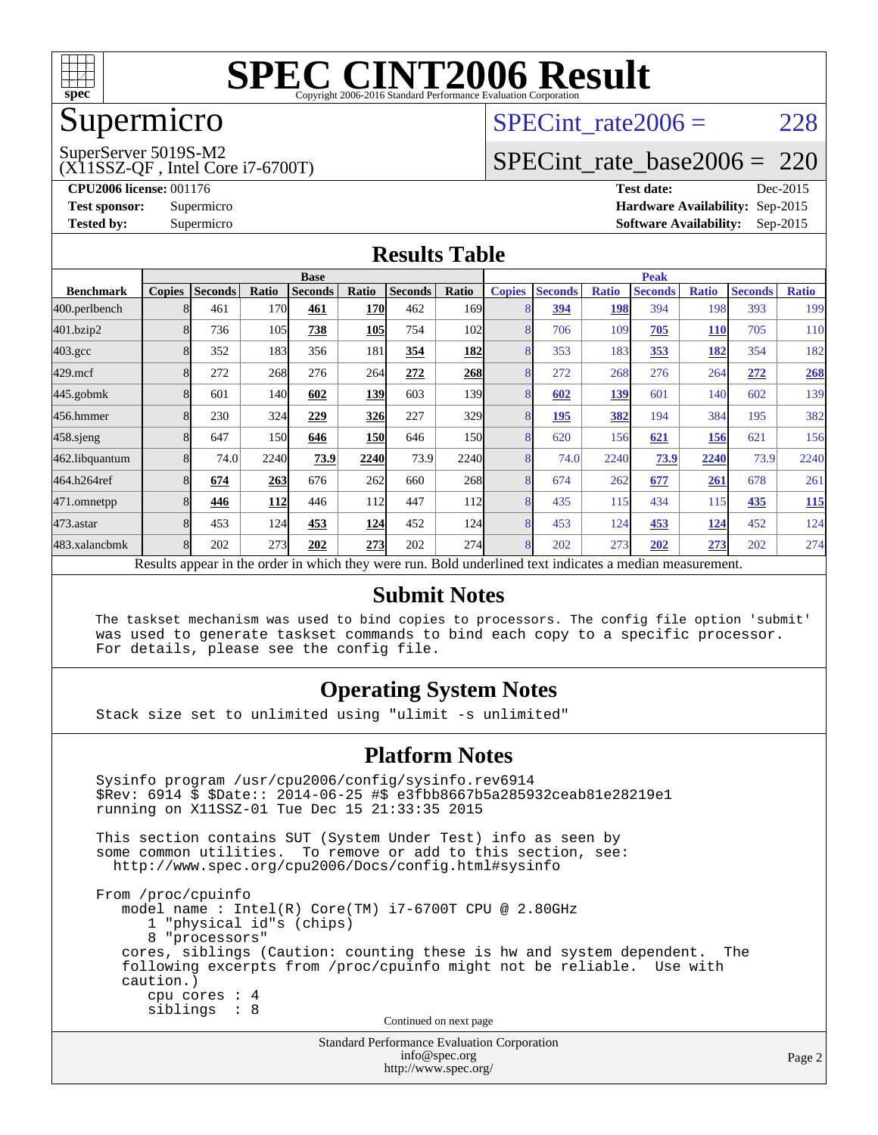

### Supermicro

### SPECint rate $2006 = 228$

SuperServer 5019S-M2

[SPECint\\_rate\\_base2006 =](http://www.spec.org/auto/cpu2006/Docs/result-fields.html#SPECintratebase2006) 220

(X11SSZ-QF , Intel Core i7-6700T) **[CPU2006 license:](http://www.spec.org/auto/cpu2006/Docs/result-fields.html#CPU2006license)** 001176 **[Test date:](http://www.spec.org/auto/cpu2006/Docs/result-fields.html#Testdate)** Dec-2015

**[Test sponsor:](http://www.spec.org/auto/cpu2006/Docs/result-fields.html#Testsponsor)** Supermicro **[Hardware Availability:](http://www.spec.org/auto/cpu2006/Docs/result-fields.html#HardwareAvailability)** Sep-2015 **[Tested by:](http://www.spec.org/auto/cpu2006/Docs/result-fields.html#Testedby)** Supermicro **Supermicro [Software Availability:](http://www.spec.org/auto/cpu2006/Docs/result-fields.html#SoftwareAvailability)** Sep-2015

#### **[Results Table](http://www.spec.org/auto/cpu2006/Docs/result-fields.html#ResultsTable)**

|                                                                                                          | <b>Base</b>   |                |       |                | <b>Peak</b> |                |                  |               |                |              |                |              |                |              |
|----------------------------------------------------------------------------------------------------------|---------------|----------------|-------|----------------|-------------|----------------|------------------|---------------|----------------|--------------|----------------|--------------|----------------|--------------|
| <b>Benchmark</b>                                                                                         | <b>Copies</b> | <b>Seconds</b> | Ratio | <b>Seconds</b> | Ratio       | <b>Seconds</b> | Ratio            | <b>Copies</b> | <b>Seconds</b> | <b>Ratio</b> | <b>Seconds</b> | <b>Ratio</b> | <b>Seconds</b> | <b>Ratio</b> |
| 400.perlbench                                                                                            | 8             | 461            | 170   | 461            | <b>170</b>  | 462            | 169 <sub>1</sub> |               | 394            | 198          | 394            | 198          | 393            | 199          |
| 401.bzip2                                                                                                | 8             | 736            | 105   | 738            | 105         | 754            | 102              | 8             | 706            | 109          | 705            | <b>110</b>   | 705            | 110          |
| $403.\mathrm{gcc}$                                                                                       | 8             | 352            | 183   | 356            | 181         | 354            | 182              | 8             | 353            | 183          | 353            | 182          | 354            | 182          |
| $429$ mcf                                                                                                | 8             | 272            | 268   | 276            | 264         | 272            | 268              | 8             | 272            | 268          | 276            | 264          | 272            | 268          |
| 445.gobmk                                                                                                | 8             | 601            | 140   | 602            | 139         | 603            | 139I             | 8             | 602            | 139          | 601            | 140          | 602            | 139          |
| 456.hmmer                                                                                                | 8             | 230            | 324   | 229            | 326         | 227            | 329              | 8             | 195            | 382          | 194            | 384          | 195            | 382          |
| 458.sjeng                                                                                                | 8             | 647            | 150   | 646            | <b>150</b>  | 646            | 150l             | 8             | 620            | 156          | 621            | 156          | 621            | 156          |
| 462.libquantum                                                                                           | 8             | 74.0           | 2240  | 73.9           | 2240        | 73.9           | 2240             | 8             | 74.0           | 2240         | 73.9           | 2240         | 73.9           | 2240         |
| 464.h264ref                                                                                              | 8             | 674            | 263   | 676            | 262         | 660            | 268              | 8             | 674            | 262          | 677            | 261          | 678            | 261          |
| 471.omnetpp                                                                                              |               | 446            | 112   | 446            | 112         | 447            | 112              | 8             | 435            | 115          | 434            | 115          | 435            | <u>115</u>   |
| $473$ . astar                                                                                            | 8             | 453            | 124   | 453            | 124         | 452            | 124              | 8             | 453            | 124          | 453            | <u>124</u>   | 452            | 124          |
| 483.xalancbmk                                                                                            | 8             | 202            | 273   | 202            | 273         | 202            | <b>274</b>       | 8             | 202            | 273          | 202            | 273          | 202            | 274          |
| Results appear in the order in which they were run. Bold underlined text indicates a median measurement. |               |                |       |                |             |                |                  |               |                |              |                |              |                |              |

#### **[Submit Notes](http://www.spec.org/auto/cpu2006/Docs/result-fields.html#SubmitNotes)**

 The taskset mechanism was used to bind copies to processors. The config file option 'submit' was used to generate taskset commands to bind each copy to a specific processor. For details, please see the config file.

#### **[Operating System Notes](http://www.spec.org/auto/cpu2006/Docs/result-fields.html#OperatingSystemNotes)**

Stack size set to unlimited using "ulimit -s unlimited"

#### **[Platform Notes](http://www.spec.org/auto/cpu2006/Docs/result-fields.html#PlatformNotes)**

Standard Performance Evaluation Corporation Sysinfo program /usr/cpu2006/config/sysinfo.rev6914 \$Rev: 6914 \$ \$Date:: 2014-06-25 #\$ e3fbb8667b5a285932ceab81e28219e1 running on X11SSZ-01 Tue Dec 15 21:33:35 2015 This section contains SUT (System Under Test) info as seen by some common utilities. To remove or add to this section, see: <http://www.spec.org/cpu2006/Docs/config.html#sysinfo> From /proc/cpuinfo model name : Intel(R) Core(TM) i7-6700T CPU @ 2.80GHz 1 "physical id"s (chips) 8 "processors" cores, siblings (Caution: counting these is hw and system dependent. The following excerpts from /proc/cpuinfo might not be reliable. Use with caution.) cpu cores : 4 siblings : 8 Continued on next page

[info@spec.org](mailto:info@spec.org) <http://www.spec.org/>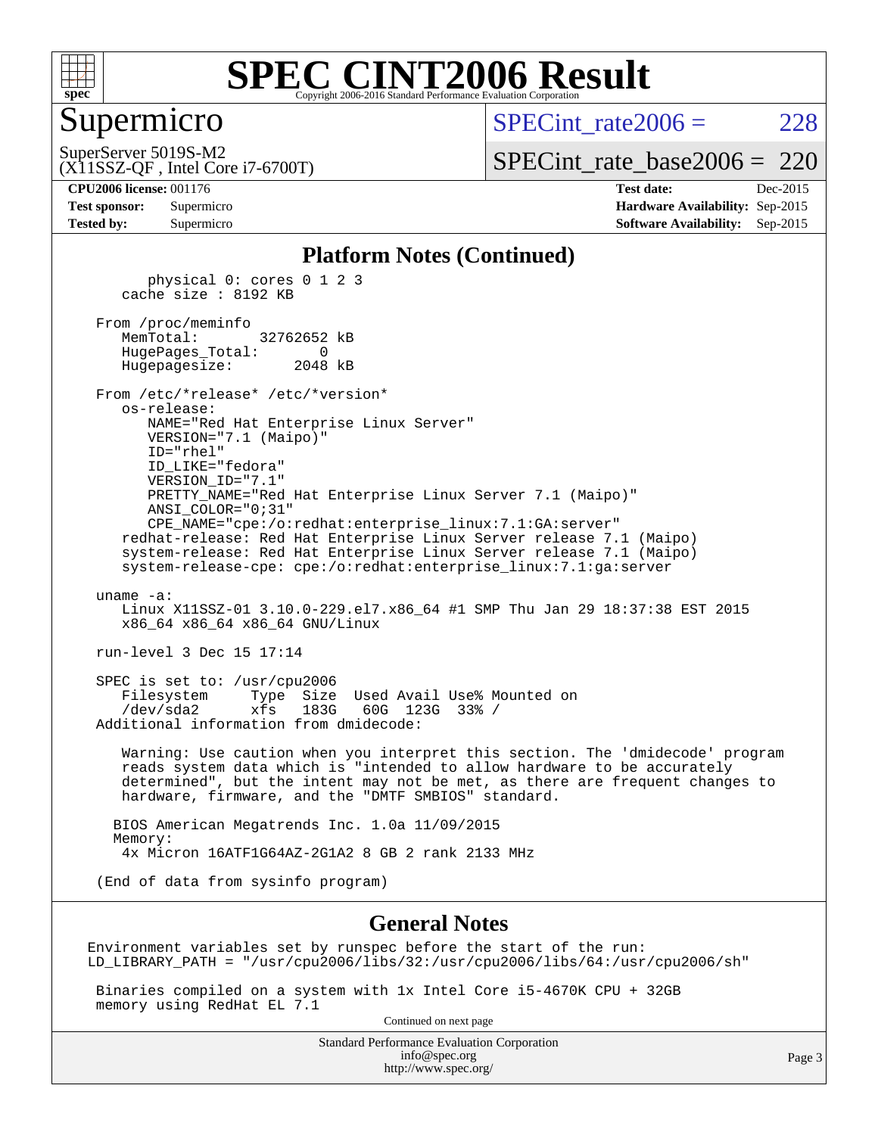

#### Supermicro

 $SPECint rate2006 = 228$ 

(X11SSZ-QF , Intel Core i7-6700T) SuperServer 5019S-M2

[SPECint\\_rate\\_base2006 =](http://www.spec.org/auto/cpu2006/Docs/result-fields.html#SPECintratebase2006) 220

| <b>Test sponsor:</b> | Supermicro |
|----------------------|------------|
| <b>Tested by:</b>    | Supermicro |

**[CPU2006 license:](http://www.spec.org/auto/cpu2006/Docs/result-fields.html#CPU2006license)** 001176 **[Test date:](http://www.spec.org/auto/cpu2006/Docs/result-fields.html#Testdate)** Dec-2015 **[Hardware Availability:](http://www.spec.org/auto/cpu2006/Docs/result-fields.html#HardwareAvailability)** Sep-2015 **[Software Availability:](http://www.spec.org/auto/cpu2006/Docs/result-fields.html#SoftwareAvailability)** Sep-2015

#### **[Platform Notes \(Continued\)](http://www.spec.org/auto/cpu2006/Docs/result-fields.html#PlatformNotes)**

 physical 0: cores 0 1 2 3 cache size : 8192 KB From /proc/meminfo MemTotal: 32762652 kB HugePages\_Total: 0 Hugepagesize: 2048 kB From /etc/\*release\* /etc/\*version\* os-release: NAME="Red Hat Enterprise Linux Server" VERSION="7.1 (Maipo)" ID="rhel" ID\_LIKE="fedora" VERSION\_ID="7.1" PRETTY\_NAME="Red Hat Enterprise Linux Server 7.1 (Maipo)" ANSI\_COLOR="0;31" CPE\_NAME="cpe:/o:redhat:enterprise\_linux:7.1:GA:server" redhat-release: Red Hat Enterprise Linux Server release 7.1 (Maipo) system-release: Red Hat Enterprise Linux Server release 7.1 (Maipo) system-release-cpe: cpe:/o:redhat:enterprise\_linux:7.1:ga:server uname -a: Linux X11SSZ-01 3.10.0-229.el7.x86\_64 #1 SMP Thu Jan 29 18:37:38 EST 2015 x86\_64 x86\_64 x86\_64 GNU/Linux run-level 3 Dec 15 17:14 SPEC is set to: /usr/cpu2006 Filesystem Type Size Used Avail Use% Mounted on /dev/sda2 xfs 183G 60G 123G 33% / Additional information from dmidecode: Warning: Use caution when you interpret this section. The 'dmidecode' program reads system data which is "intended to allow hardware to be accurately determined", but the intent may not be met, as there are frequent changes to hardware, firmware, and the "DMTF SMBIOS" standard. BIOS American Megatrends Inc. 1.0a 11/09/2015 Memory: 4x Micron 16ATF1G64AZ-2G1A2 8 GB 2 rank 2133 MHz (End of data from sysinfo program)

#### **[General Notes](http://www.spec.org/auto/cpu2006/Docs/result-fields.html#GeneralNotes)**

Environment variables set by runspec before the start of the run: LD\_LIBRARY\_PATH = "/usr/cpu2006/libs/32:/usr/cpu2006/libs/64:/usr/cpu2006/sh"

 Binaries compiled on a system with 1x Intel Core i5-4670K CPU + 32GB memory using RedHat EL 7.1

Continued on next page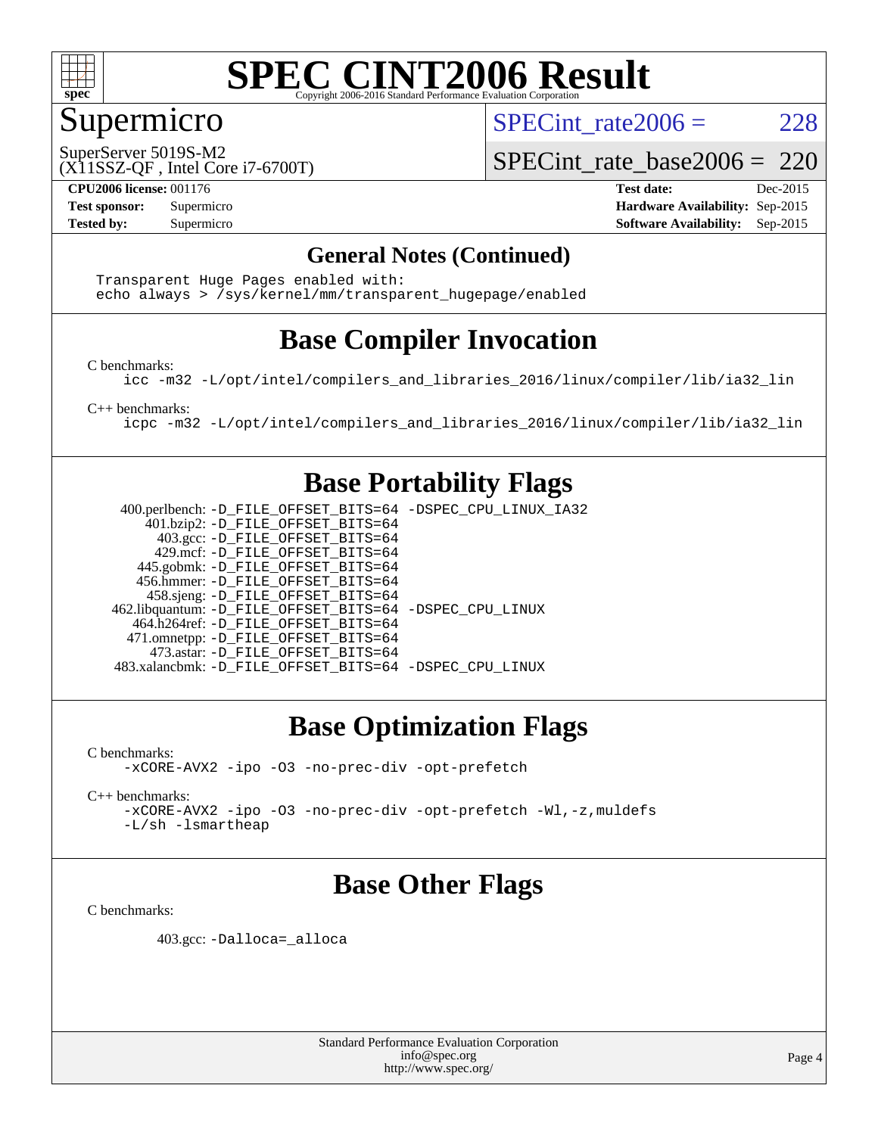

#### Supermicro

SPECint rate $2006 = 228$ 

(X11SSZ-QF , Intel Core i7-6700T) SuperServer 5019S-M2

[SPECint\\_rate\\_base2006 =](http://www.spec.org/auto/cpu2006/Docs/result-fields.html#SPECintratebase2006) 220

**[CPU2006 license:](http://www.spec.org/auto/cpu2006/Docs/result-fields.html#CPU2006license)** 001176 **[Test date:](http://www.spec.org/auto/cpu2006/Docs/result-fields.html#Testdate)** Dec-2015 **[Test sponsor:](http://www.spec.org/auto/cpu2006/Docs/result-fields.html#Testsponsor)** Supermicro **[Hardware Availability:](http://www.spec.org/auto/cpu2006/Docs/result-fields.html#HardwareAvailability)** Sep-2015 **[Tested by:](http://www.spec.org/auto/cpu2006/Docs/result-fields.html#Testedby)** Supermicro **Supermicro [Software Availability:](http://www.spec.org/auto/cpu2006/Docs/result-fields.html#SoftwareAvailability)** Sep-2015

#### **[General Notes \(Continued\)](http://www.spec.org/auto/cpu2006/Docs/result-fields.html#GeneralNotes)**

 Transparent Huge Pages enabled with: echo always > /sys/kernel/mm/transparent\_hugepage/enabled

### **[Base Compiler Invocation](http://www.spec.org/auto/cpu2006/Docs/result-fields.html#BaseCompilerInvocation)**

[C benchmarks](http://www.spec.org/auto/cpu2006/Docs/result-fields.html#Cbenchmarks):

[icc -m32 -L/opt/intel/compilers\\_and\\_libraries\\_2016/linux/compiler/lib/ia32\\_lin](http://www.spec.org/cpu2006/results/res2016q1/cpu2006-20151217-38468.flags.html#user_CCbase_intel_icc_e10256ba5924b668798078a321b0cb3f)

[C++ benchmarks:](http://www.spec.org/auto/cpu2006/Docs/result-fields.html#CXXbenchmarks)

[icpc -m32 -L/opt/intel/compilers\\_and\\_libraries\\_2016/linux/compiler/lib/ia32\\_lin](http://www.spec.org/cpu2006/results/res2016q1/cpu2006-20151217-38468.flags.html#user_CXXbase_intel_icpc_b4f50a394bdb4597aa5879c16bc3f5c5)

#### **[Base Portability Flags](http://www.spec.org/auto/cpu2006/Docs/result-fields.html#BasePortabilityFlags)**

 400.perlbench: [-D\\_FILE\\_OFFSET\\_BITS=64](http://www.spec.org/cpu2006/results/res2016q1/cpu2006-20151217-38468.flags.html#user_basePORTABILITY400_perlbench_file_offset_bits_64_438cf9856305ebd76870a2c6dc2689ab) [-DSPEC\\_CPU\\_LINUX\\_IA32](http://www.spec.org/cpu2006/results/res2016q1/cpu2006-20151217-38468.flags.html#b400.perlbench_baseCPORTABILITY_DSPEC_CPU_LINUX_IA32) 401.bzip2: [-D\\_FILE\\_OFFSET\\_BITS=64](http://www.spec.org/cpu2006/results/res2016q1/cpu2006-20151217-38468.flags.html#user_basePORTABILITY401_bzip2_file_offset_bits_64_438cf9856305ebd76870a2c6dc2689ab) 403.gcc: [-D\\_FILE\\_OFFSET\\_BITS=64](http://www.spec.org/cpu2006/results/res2016q1/cpu2006-20151217-38468.flags.html#user_basePORTABILITY403_gcc_file_offset_bits_64_438cf9856305ebd76870a2c6dc2689ab) 429.mcf: [-D\\_FILE\\_OFFSET\\_BITS=64](http://www.spec.org/cpu2006/results/res2016q1/cpu2006-20151217-38468.flags.html#user_basePORTABILITY429_mcf_file_offset_bits_64_438cf9856305ebd76870a2c6dc2689ab) 445.gobmk: [-D\\_FILE\\_OFFSET\\_BITS=64](http://www.spec.org/cpu2006/results/res2016q1/cpu2006-20151217-38468.flags.html#user_basePORTABILITY445_gobmk_file_offset_bits_64_438cf9856305ebd76870a2c6dc2689ab) 456.hmmer: [-D\\_FILE\\_OFFSET\\_BITS=64](http://www.spec.org/cpu2006/results/res2016q1/cpu2006-20151217-38468.flags.html#user_basePORTABILITY456_hmmer_file_offset_bits_64_438cf9856305ebd76870a2c6dc2689ab) 458.sjeng: [-D\\_FILE\\_OFFSET\\_BITS=64](http://www.spec.org/cpu2006/results/res2016q1/cpu2006-20151217-38468.flags.html#user_basePORTABILITY458_sjeng_file_offset_bits_64_438cf9856305ebd76870a2c6dc2689ab) 462.libquantum: [-D\\_FILE\\_OFFSET\\_BITS=64](http://www.spec.org/cpu2006/results/res2016q1/cpu2006-20151217-38468.flags.html#user_basePORTABILITY462_libquantum_file_offset_bits_64_438cf9856305ebd76870a2c6dc2689ab) [-DSPEC\\_CPU\\_LINUX](http://www.spec.org/cpu2006/results/res2016q1/cpu2006-20151217-38468.flags.html#b462.libquantum_baseCPORTABILITY_DSPEC_CPU_LINUX) 464.h264ref: [-D\\_FILE\\_OFFSET\\_BITS=64](http://www.spec.org/cpu2006/results/res2016q1/cpu2006-20151217-38468.flags.html#user_basePORTABILITY464_h264ref_file_offset_bits_64_438cf9856305ebd76870a2c6dc2689ab) 471.omnetpp: [-D\\_FILE\\_OFFSET\\_BITS=64](http://www.spec.org/cpu2006/results/res2016q1/cpu2006-20151217-38468.flags.html#user_basePORTABILITY471_omnetpp_file_offset_bits_64_438cf9856305ebd76870a2c6dc2689ab) 473.astar: [-D\\_FILE\\_OFFSET\\_BITS=64](http://www.spec.org/cpu2006/results/res2016q1/cpu2006-20151217-38468.flags.html#user_basePORTABILITY473_astar_file_offset_bits_64_438cf9856305ebd76870a2c6dc2689ab) 483.xalancbmk: [-D\\_FILE\\_OFFSET\\_BITS=64](http://www.spec.org/cpu2006/results/res2016q1/cpu2006-20151217-38468.flags.html#user_basePORTABILITY483_xalancbmk_file_offset_bits_64_438cf9856305ebd76870a2c6dc2689ab) [-DSPEC\\_CPU\\_LINUX](http://www.spec.org/cpu2006/results/res2016q1/cpu2006-20151217-38468.flags.html#b483.xalancbmk_baseCXXPORTABILITY_DSPEC_CPU_LINUX)

### **[Base Optimization Flags](http://www.spec.org/auto/cpu2006/Docs/result-fields.html#BaseOptimizationFlags)**

[C benchmarks](http://www.spec.org/auto/cpu2006/Docs/result-fields.html#Cbenchmarks): [-xCORE-AVX2](http://www.spec.org/cpu2006/results/res2016q1/cpu2006-20151217-38468.flags.html#user_CCbase_f-xAVX2_5f5fc0cbe2c9f62c816d3e45806c70d7) [-ipo](http://www.spec.org/cpu2006/results/res2016q1/cpu2006-20151217-38468.flags.html#user_CCbase_f-ipo) [-O3](http://www.spec.org/cpu2006/results/res2016q1/cpu2006-20151217-38468.flags.html#user_CCbase_f-O3) [-no-prec-div](http://www.spec.org/cpu2006/results/res2016q1/cpu2006-20151217-38468.flags.html#user_CCbase_f-no-prec-div) [-opt-prefetch](http://www.spec.org/cpu2006/results/res2016q1/cpu2006-20151217-38468.flags.html#user_CCbase_f-opt-prefetch)

[C++ benchmarks:](http://www.spec.org/auto/cpu2006/Docs/result-fields.html#CXXbenchmarks)

[-xCORE-AVX2](http://www.spec.org/cpu2006/results/res2016q1/cpu2006-20151217-38468.flags.html#user_CXXbase_f-xAVX2_5f5fc0cbe2c9f62c816d3e45806c70d7) [-ipo](http://www.spec.org/cpu2006/results/res2016q1/cpu2006-20151217-38468.flags.html#user_CXXbase_f-ipo) [-O3](http://www.spec.org/cpu2006/results/res2016q1/cpu2006-20151217-38468.flags.html#user_CXXbase_f-O3) [-no-prec-div](http://www.spec.org/cpu2006/results/res2016q1/cpu2006-20151217-38468.flags.html#user_CXXbase_f-no-prec-div) [-opt-prefetch](http://www.spec.org/cpu2006/results/res2016q1/cpu2006-20151217-38468.flags.html#user_CXXbase_f-opt-prefetch) [-Wl,-z,muldefs](http://www.spec.org/cpu2006/results/res2016q1/cpu2006-20151217-38468.flags.html#user_CXXbase_link_force_multiple1_74079c344b956b9658436fd1b6dd3a8a) [-L/sh -lsmartheap](http://www.spec.org/cpu2006/results/res2016q1/cpu2006-20151217-38468.flags.html#user_CXXbase_SmartHeap_32f6c82aa1ed9c52345d30cf6e4a0499)

### **[Base Other Flags](http://www.spec.org/auto/cpu2006/Docs/result-fields.html#BaseOtherFlags)**

[C benchmarks](http://www.spec.org/auto/cpu2006/Docs/result-fields.html#Cbenchmarks):

403.gcc: [-Dalloca=\\_alloca](http://www.spec.org/cpu2006/results/res2016q1/cpu2006-20151217-38468.flags.html#b403.gcc_baseEXTRA_CFLAGS_Dalloca_be3056838c12de2578596ca5467af7f3)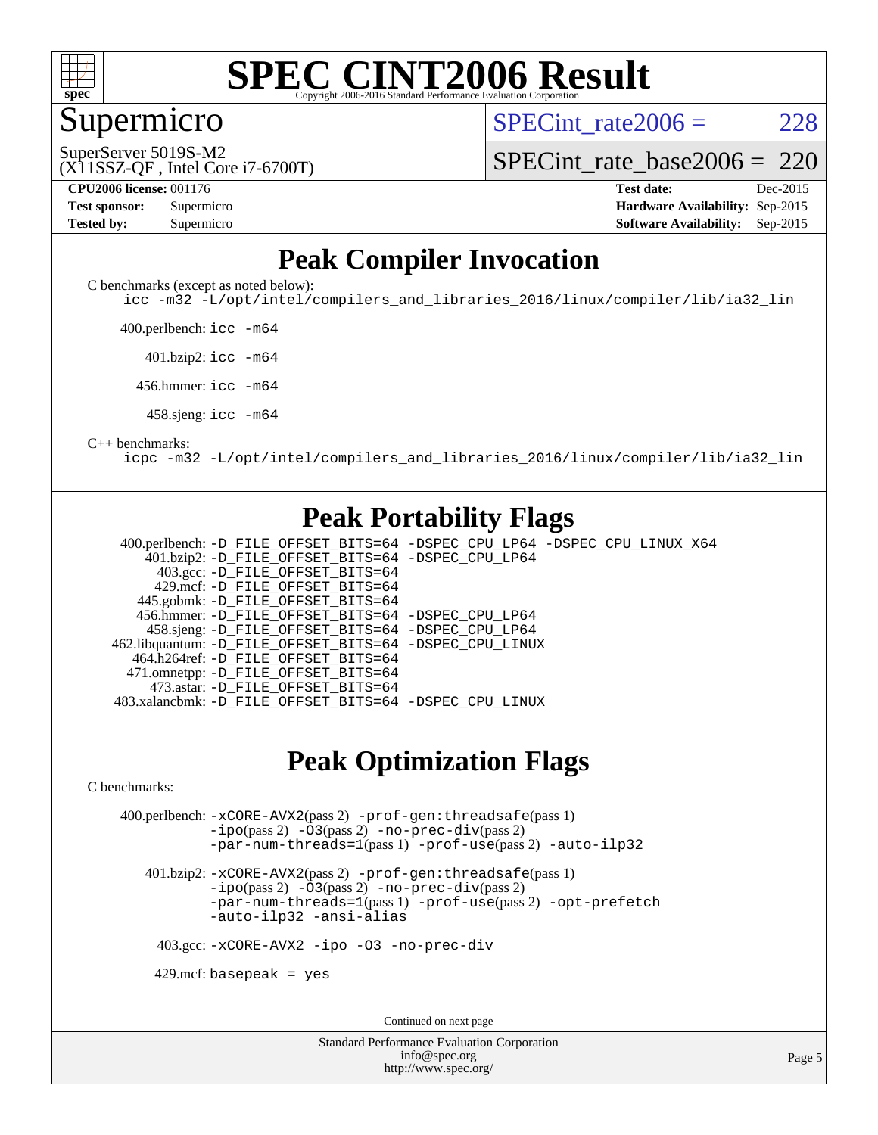

#### Supermicro

SPECint rate $2006 = 228$ 

(X11SSZ-QF , Intel Core i7-6700T) SuperServer 5019S-M2

[SPECint\\_rate\\_base2006 =](http://www.spec.org/auto/cpu2006/Docs/result-fields.html#SPECintratebase2006) 220

**[CPU2006 license:](http://www.spec.org/auto/cpu2006/Docs/result-fields.html#CPU2006license)** 001176 **[Test date:](http://www.spec.org/auto/cpu2006/Docs/result-fields.html#Testdate)** Dec-2015

| <b>Test sponsor:</b> | Supermicro |
|----------------------|------------|
| <b>Tested by:</b>    | Supermicro |

**[Hardware Availability:](http://www.spec.org/auto/cpu2006/Docs/result-fields.html#HardwareAvailability)** Sep-2015 **[Software Availability:](http://www.spec.org/auto/cpu2006/Docs/result-fields.html#SoftwareAvailability)** Sep-2015

#### **[Peak Compiler Invocation](http://www.spec.org/auto/cpu2006/Docs/result-fields.html#PeakCompilerInvocation)**

[C benchmarks \(except as noted below\)](http://www.spec.org/auto/cpu2006/Docs/result-fields.html#Cbenchmarksexceptasnotedbelow):

[icc -m32 -L/opt/intel/compilers\\_and\\_libraries\\_2016/linux/compiler/lib/ia32\\_lin](http://www.spec.org/cpu2006/results/res2016q1/cpu2006-20151217-38468.flags.html#user_CCpeak_intel_icc_e10256ba5924b668798078a321b0cb3f)

400.perlbench: [icc -m64](http://www.spec.org/cpu2006/results/res2016q1/cpu2006-20151217-38468.flags.html#user_peakCCLD400_perlbench_intel_icc_64bit_bda6cc9af1fdbb0edc3795bac97ada53)

401.bzip2: [icc -m64](http://www.spec.org/cpu2006/results/res2016q1/cpu2006-20151217-38468.flags.html#user_peakCCLD401_bzip2_intel_icc_64bit_bda6cc9af1fdbb0edc3795bac97ada53)

456.hmmer: [icc -m64](http://www.spec.org/cpu2006/results/res2016q1/cpu2006-20151217-38468.flags.html#user_peakCCLD456_hmmer_intel_icc_64bit_bda6cc9af1fdbb0edc3795bac97ada53)

458.sjeng: [icc -m64](http://www.spec.org/cpu2006/results/res2016q1/cpu2006-20151217-38468.flags.html#user_peakCCLD458_sjeng_intel_icc_64bit_bda6cc9af1fdbb0edc3795bac97ada53)

#### [C++ benchmarks:](http://www.spec.org/auto/cpu2006/Docs/result-fields.html#CXXbenchmarks)

[icpc -m32 -L/opt/intel/compilers\\_and\\_libraries\\_2016/linux/compiler/lib/ia32\\_lin](http://www.spec.org/cpu2006/results/res2016q1/cpu2006-20151217-38468.flags.html#user_CXXpeak_intel_icpc_b4f50a394bdb4597aa5879c16bc3f5c5)

#### **[Peak Portability Flags](http://www.spec.org/auto/cpu2006/Docs/result-fields.html#PeakPortabilityFlags)**

 400.perlbench: [-D\\_FILE\\_OFFSET\\_BITS=64](http://www.spec.org/cpu2006/results/res2016q1/cpu2006-20151217-38468.flags.html#user_peakPORTABILITY400_perlbench_file_offset_bits_64_438cf9856305ebd76870a2c6dc2689ab) [-DSPEC\\_CPU\\_LP64](http://www.spec.org/cpu2006/results/res2016q1/cpu2006-20151217-38468.flags.html#b400.perlbench_peakCPORTABILITY_DSPEC_CPU_LP64) [-DSPEC\\_CPU\\_LINUX\\_X64](http://www.spec.org/cpu2006/results/res2016q1/cpu2006-20151217-38468.flags.html#b400.perlbench_peakCPORTABILITY_DSPEC_CPU_LINUX_X64) 401.bzip2: [-D\\_FILE\\_OFFSET\\_BITS=64](http://www.spec.org/cpu2006/results/res2016q1/cpu2006-20151217-38468.flags.html#user_peakPORTABILITY401_bzip2_file_offset_bits_64_438cf9856305ebd76870a2c6dc2689ab) [-DSPEC\\_CPU\\_LP64](http://www.spec.org/cpu2006/results/res2016q1/cpu2006-20151217-38468.flags.html#suite_peakCPORTABILITY401_bzip2_DSPEC_CPU_LP64) 403.gcc: [-D\\_FILE\\_OFFSET\\_BITS=64](http://www.spec.org/cpu2006/results/res2016q1/cpu2006-20151217-38468.flags.html#user_peakPORTABILITY403_gcc_file_offset_bits_64_438cf9856305ebd76870a2c6dc2689ab) 429.mcf: [-D\\_FILE\\_OFFSET\\_BITS=64](http://www.spec.org/cpu2006/results/res2016q1/cpu2006-20151217-38468.flags.html#user_peakPORTABILITY429_mcf_file_offset_bits_64_438cf9856305ebd76870a2c6dc2689ab) 445.gobmk: [-D\\_FILE\\_OFFSET\\_BITS=64](http://www.spec.org/cpu2006/results/res2016q1/cpu2006-20151217-38468.flags.html#user_peakPORTABILITY445_gobmk_file_offset_bits_64_438cf9856305ebd76870a2c6dc2689ab) 456.hmmer: [-D\\_FILE\\_OFFSET\\_BITS=64](http://www.spec.org/cpu2006/results/res2016q1/cpu2006-20151217-38468.flags.html#user_peakPORTABILITY456_hmmer_file_offset_bits_64_438cf9856305ebd76870a2c6dc2689ab) [-DSPEC\\_CPU\\_LP64](http://www.spec.org/cpu2006/results/res2016q1/cpu2006-20151217-38468.flags.html#suite_peakCPORTABILITY456_hmmer_DSPEC_CPU_LP64) 458.sjeng: [-D\\_FILE\\_OFFSET\\_BITS=64](http://www.spec.org/cpu2006/results/res2016q1/cpu2006-20151217-38468.flags.html#user_peakPORTABILITY458_sjeng_file_offset_bits_64_438cf9856305ebd76870a2c6dc2689ab) [-DSPEC\\_CPU\\_LP64](http://www.spec.org/cpu2006/results/res2016q1/cpu2006-20151217-38468.flags.html#suite_peakCPORTABILITY458_sjeng_DSPEC_CPU_LP64) 462.libquantum: [-D\\_FILE\\_OFFSET\\_BITS=64](http://www.spec.org/cpu2006/results/res2016q1/cpu2006-20151217-38468.flags.html#user_peakPORTABILITY462_libquantum_file_offset_bits_64_438cf9856305ebd76870a2c6dc2689ab) [-DSPEC\\_CPU\\_LINUX](http://www.spec.org/cpu2006/results/res2016q1/cpu2006-20151217-38468.flags.html#b462.libquantum_peakCPORTABILITY_DSPEC_CPU_LINUX) 464.h264ref: [-D\\_FILE\\_OFFSET\\_BITS=64](http://www.spec.org/cpu2006/results/res2016q1/cpu2006-20151217-38468.flags.html#user_peakPORTABILITY464_h264ref_file_offset_bits_64_438cf9856305ebd76870a2c6dc2689ab) 471.omnetpp: [-D\\_FILE\\_OFFSET\\_BITS=64](http://www.spec.org/cpu2006/results/res2016q1/cpu2006-20151217-38468.flags.html#user_peakPORTABILITY471_omnetpp_file_offset_bits_64_438cf9856305ebd76870a2c6dc2689ab) 473.astar: [-D\\_FILE\\_OFFSET\\_BITS=64](http://www.spec.org/cpu2006/results/res2016q1/cpu2006-20151217-38468.flags.html#user_peakPORTABILITY473_astar_file_offset_bits_64_438cf9856305ebd76870a2c6dc2689ab) 483.xalancbmk: [-D\\_FILE\\_OFFSET\\_BITS=64](http://www.spec.org/cpu2006/results/res2016q1/cpu2006-20151217-38468.flags.html#user_peakPORTABILITY483_xalancbmk_file_offset_bits_64_438cf9856305ebd76870a2c6dc2689ab) [-DSPEC\\_CPU\\_LINUX](http://www.spec.org/cpu2006/results/res2016q1/cpu2006-20151217-38468.flags.html#b483.xalancbmk_peakCXXPORTABILITY_DSPEC_CPU_LINUX)

#### **[Peak Optimization Flags](http://www.spec.org/auto/cpu2006/Docs/result-fields.html#PeakOptimizationFlags)**

[C benchmarks](http://www.spec.org/auto/cpu2006/Docs/result-fields.html#Cbenchmarks):

 400.perlbench: [-xCORE-AVX2](http://www.spec.org/cpu2006/results/res2016q1/cpu2006-20151217-38468.flags.html#user_peakPASS2_CFLAGSPASS2_LDCFLAGS400_perlbench_f-xAVX2_5f5fc0cbe2c9f62c816d3e45806c70d7)(pass 2) [-prof-gen:threadsafe](http://www.spec.org/cpu2006/results/res2016q1/cpu2006-20151217-38468.flags.html#user_peakPASS1_CFLAGSPASS1_LDCFLAGS400_perlbench_prof_gen_21a26eb79f378b550acd7bec9fe4467a)(pass 1) [-ipo](http://www.spec.org/cpu2006/results/res2016q1/cpu2006-20151217-38468.flags.html#user_peakPASS2_CFLAGSPASS2_LDCFLAGS400_perlbench_f-ipo)(pass 2) [-O3](http://www.spec.org/cpu2006/results/res2016q1/cpu2006-20151217-38468.flags.html#user_peakPASS2_CFLAGSPASS2_LDCFLAGS400_perlbench_f-O3)(pass 2) [-no-prec-div](http://www.spec.org/cpu2006/results/res2016q1/cpu2006-20151217-38468.flags.html#user_peakPASS2_CFLAGSPASS2_LDCFLAGS400_perlbench_f-no-prec-div)(pass 2) [-par-num-threads=1](http://www.spec.org/cpu2006/results/res2016q1/cpu2006-20151217-38468.flags.html#user_peakPASS1_CFLAGSPASS1_LDCFLAGS400_perlbench_par_num_threads_786a6ff141b4e9e90432e998842df6c2)(pass 1) [-prof-use](http://www.spec.org/cpu2006/results/res2016q1/cpu2006-20151217-38468.flags.html#user_peakPASS2_CFLAGSPASS2_LDCFLAGS400_perlbench_prof_use_bccf7792157ff70d64e32fe3e1250b55)(pass 2) [-auto-ilp32](http://www.spec.org/cpu2006/results/res2016q1/cpu2006-20151217-38468.flags.html#user_peakCOPTIMIZE400_perlbench_f-auto-ilp32)

 401.bzip2: [-xCORE-AVX2](http://www.spec.org/cpu2006/results/res2016q1/cpu2006-20151217-38468.flags.html#user_peakPASS2_CFLAGSPASS2_LDCFLAGS401_bzip2_f-xAVX2_5f5fc0cbe2c9f62c816d3e45806c70d7)(pass 2) [-prof-gen:threadsafe](http://www.spec.org/cpu2006/results/res2016q1/cpu2006-20151217-38468.flags.html#user_peakPASS1_CFLAGSPASS1_LDCFLAGS401_bzip2_prof_gen_21a26eb79f378b550acd7bec9fe4467a)(pass 1)  $-i\text{po}(pass 2)$  [-O3](http://www.spec.org/cpu2006/results/res2016q1/cpu2006-20151217-38468.flags.html#user_peakPASS2_CFLAGSPASS2_LDCFLAGS401_bzip2_f-O3) $(pass 2)$  [-no-prec-div](http://www.spec.org/cpu2006/results/res2016q1/cpu2006-20151217-38468.flags.html#user_peakPASS2_CFLAGSPASS2_LDCFLAGS401_bzip2_f-no-prec-div) $(pass 2)$ [-par-num-threads=1](http://www.spec.org/cpu2006/results/res2016q1/cpu2006-20151217-38468.flags.html#user_peakPASS1_CFLAGSPASS1_LDCFLAGS401_bzip2_par_num_threads_786a6ff141b4e9e90432e998842df6c2)(pass 1) [-prof-use](http://www.spec.org/cpu2006/results/res2016q1/cpu2006-20151217-38468.flags.html#user_peakPASS2_CFLAGSPASS2_LDCFLAGS401_bzip2_prof_use_bccf7792157ff70d64e32fe3e1250b55)(pass 2) [-opt-prefetch](http://www.spec.org/cpu2006/results/res2016q1/cpu2006-20151217-38468.flags.html#user_peakCOPTIMIZE401_bzip2_f-opt-prefetch) [-auto-ilp32](http://www.spec.org/cpu2006/results/res2016q1/cpu2006-20151217-38468.flags.html#user_peakCOPTIMIZE401_bzip2_f-auto-ilp32) [-ansi-alias](http://www.spec.org/cpu2006/results/res2016q1/cpu2006-20151217-38468.flags.html#user_peakCOPTIMIZE401_bzip2_f-ansi-alias)

403.gcc: [-xCORE-AVX2](http://www.spec.org/cpu2006/results/res2016q1/cpu2006-20151217-38468.flags.html#user_peakCOPTIMIZE403_gcc_f-xAVX2_5f5fc0cbe2c9f62c816d3e45806c70d7) [-ipo](http://www.spec.org/cpu2006/results/res2016q1/cpu2006-20151217-38468.flags.html#user_peakCOPTIMIZE403_gcc_f-ipo) [-O3](http://www.spec.org/cpu2006/results/res2016q1/cpu2006-20151217-38468.flags.html#user_peakCOPTIMIZE403_gcc_f-O3) [-no-prec-div](http://www.spec.org/cpu2006/results/res2016q1/cpu2006-20151217-38468.flags.html#user_peakCOPTIMIZE403_gcc_f-no-prec-div)

 $429$ .mcf: basepeak = yes

Continued on next page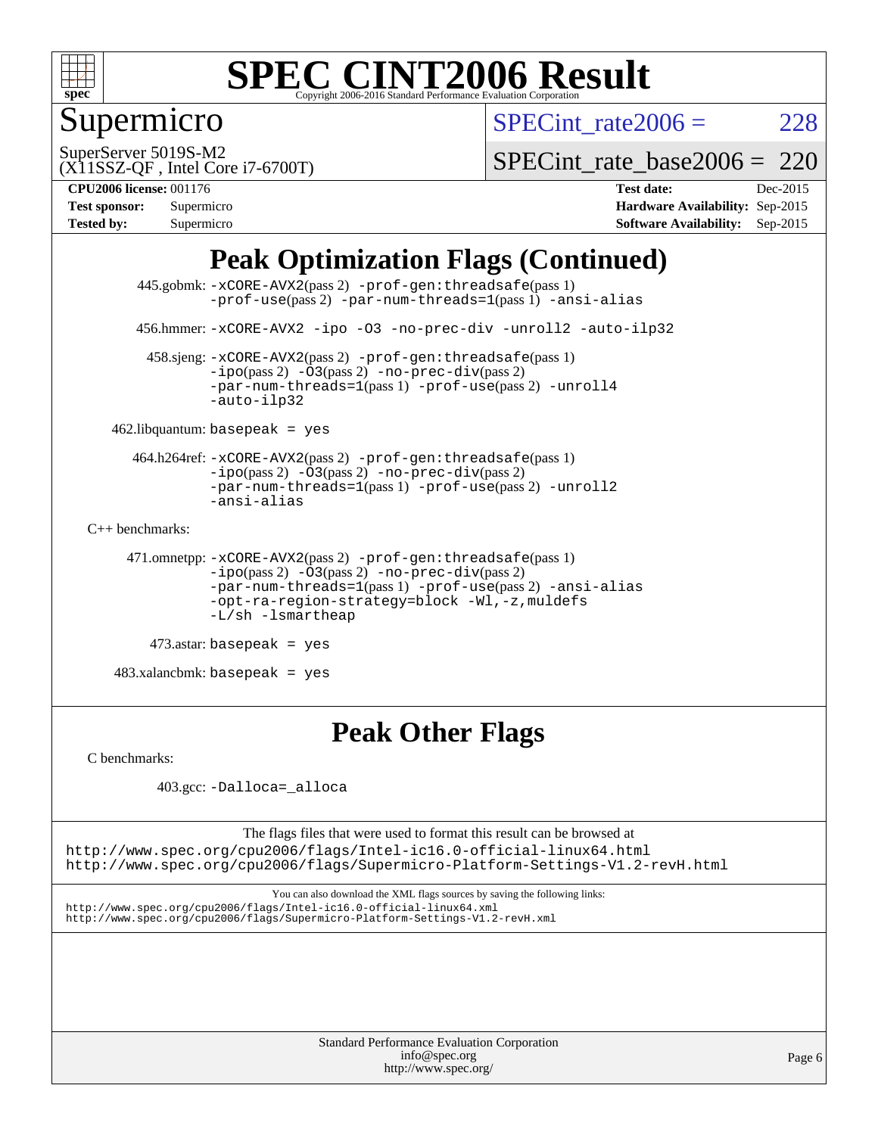

### Supermicro

SPECint rate $2006 = 228$ 

(X11SSZ-QF , Intel Core i7-6700T) SuperServer 5019S-M2

[SPECint\\_rate\\_base2006 =](http://www.spec.org/auto/cpu2006/Docs/result-fields.html#SPECintratebase2006) 220

**[CPU2006 license:](http://www.spec.org/auto/cpu2006/Docs/result-fields.html#CPU2006license)** 001176 **[Test date:](http://www.spec.org/auto/cpu2006/Docs/result-fields.html#Testdate)** Dec-2015

| <b>Test sponsor:</b> | Supermicro |
|----------------------|------------|
| <b>Tested by:</b>    | Supermicro |

**[Hardware Availability:](http://www.spec.org/auto/cpu2006/Docs/result-fields.html#HardwareAvailability)** Sep-2015 **[Software Availability:](http://www.spec.org/auto/cpu2006/Docs/result-fields.html#SoftwareAvailability)** Sep-2015

### **[Peak Optimization Flags \(Continued\)](http://www.spec.org/auto/cpu2006/Docs/result-fields.html#PeakOptimizationFlags)**

```
 445.gobmk: -xCORE-AVX2(pass 2) -prof-gen:threadsafe(pass 1)
                 -prof-use(pass 2) -par-num-threads=1(pass 1) -ansi-alias
       456.hmmer: -xCORE-AVX2 -ipo -O3 -no-prec-div -unroll2 -auto-ilp32
         458.sjeng: -xCORE-AVX2(pass 2) -prof-gen:threadsafe(pass 1)
                -ipo(pass 2) -\overline{03(pass 2)}-no-prec-div(pass 2)
                -par-num-threads=1(pass 1) -prof-use(pass 2) -unroll4
                 -auto-ilp32
   462.libquantum: basepeak = yes
       464.h264ref: -xCORE-AVX2(pass 2) -prof-gen:threadsafe(pass 1)
                -i\text{po}(pass 2) -03(pass 2) -no-prec-div(pass 2)-par-num-threads=1(pass 1) -prof-use(pass 2) -unroll2
                -ansi-alias
C++ benchmarks: 
      471.omnetpp: -xCORE-AVX2(pass 2) -prof-gen:threadsafe(pass 1)
                -ipo(pass 2) -O3(pass 2) -no-prec-div(pass 2)
                -par-num-threads=1(pass 1) -prof-use(pass 2) -ansi-alias
                -opt-ra-region-strategy=block -Wl,-z,muldefs
                -L/sh -lsmartheap
         473.astar: basepeak = yes
```
 $483.xalanchmk: basepeak = yes$ 

#### **[Peak Other Flags](http://www.spec.org/auto/cpu2006/Docs/result-fields.html#PeakOtherFlags)**

[C benchmarks](http://www.spec.org/auto/cpu2006/Docs/result-fields.html#Cbenchmarks):

403.gcc: [-Dalloca=\\_alloca](http://www.spec.org/cpu2006/results/res2016q1/cpu2006-20151217-38468.flags.html#b403.gcc_peakEXTRA_CFLAGS_Dalloca_be3056838c12de2578596ca5467af7f3)

The flags files that were used to format this result can be browsed at <http://www.spec.org/cpu2006/flags/Intel-ic16.0-official-linux64.html>

<http://www.spec.org/cpu2006/flags/Supermicro-Platform-Settings-V1.2-revH.html>

You can also download the XML flags sources by saving the following links: <http://www.spec.org/cpu2006/flags/Intel-ic16.0-official-linux64.xml> <http://www.spec.org/cpu2006/flags/Supermicro-Platform-Settings-V1.2-revH.xml>